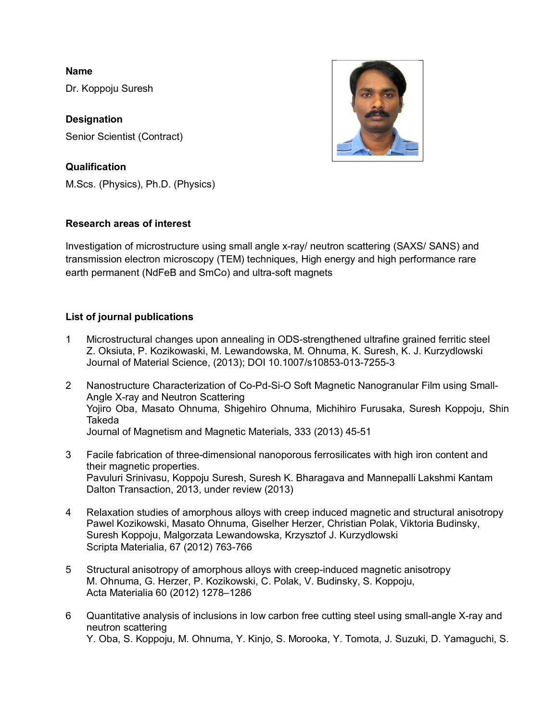**Name**

Dr. Koppoju Suresh

**Designation** Senior Scientist (Contract)

# **Qualification**

M.Scs. (Physics), Ph.D. (Physics)

# **Research areas of interest**

Investigation of microstructure using small angle x-ray/ neutron scattering (SAXS/ SANS) and transmission electron microscopy (TEM) techniques, High energy and high performance rare earth permanent (NdFeB and SmCo) and ultra-soft magnets

# **List of journal publications**

- 1 Microstructural changes upon annealing in ODS-strengthened ultrafine grained ferritic steel Z. Oksiuta, P. Kozikowaski, M. Lewandowska, M. Ohnuma, K. Suresh, K. J. Kurzydlowski Journal of Material Science, (2013); DOI 10.1007/s10853-013-7255-3
- 2 Nanostructure Characterization of Co-Pd-Si-O Soft Magnetic Nanogranular Film using Small-Angle X-ray and Neutron Scattering Yojiro Oba, Masato Ohnuma, Shigehiro Ohnuma, Michihiro Furusaka, Suresh Koppoju, Shin Takeda Journal of Magnetism and Magnetic Materials, 333 (2013) 45-51
- 3 Facile fabrication of three-dimensional nanoporous ferrosilicates with high iron content and their magnetic properties. Pavuluri Srinivasu, Koppoju Suresh, Suresh K. Bharagava and Mannepalli Lakshmi Kantam Dalton Transaction, 2013, under review (2013)
- 4 Relaxation studies of amorphous alloys with creep induced magnetic and structural anisotropy Pawel Kozikowski, Masato Ohnuma, Giselher Herzer, Christian Polak, Viktoria Budinsky, Suresh Koppoju, Malgorzata Lewandowska, Krzysztof J. Kurzydlowski Scripta Materialia, 67 (2012) 763-766
- 5 Structural anisotropy of amorphous alloys with creep-induced magnetic anisotropy M. Ohnuma, G. Herzer, P. Kozikowski, C. Polak, V. Budinsky, S. Koppoju, Acta Materialia 60 (2012) 1278–1286
- 6 Quantitative analysis of inclusions in low carbon free cutting steel using small-angle X-ray and neutron scattering Y. Oba, S. Koppoju, M. Ohnuma, Y. Kinjo, S. Morooka, Y. Tomota, J. Suzuki, D. Yamaguchi, S.

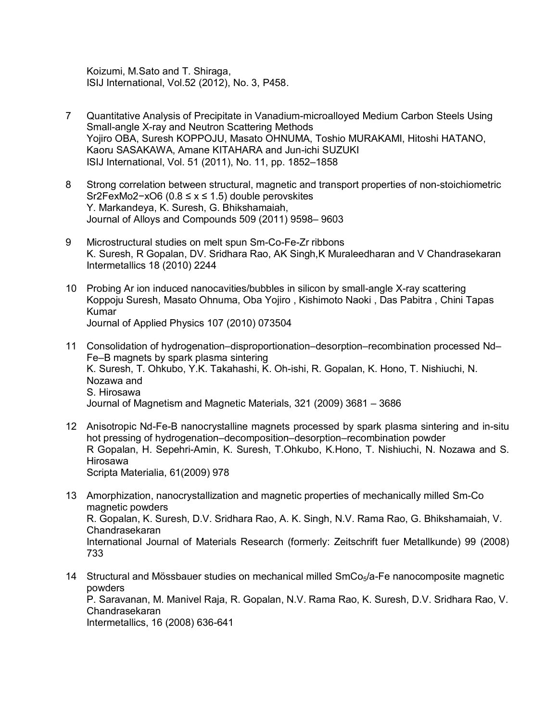Koizumi, M.Sato and T. Shiraga, ISIJ International, Vol.52 (2012), No. 3, P458.

- 7 Quantitative Analysis of Precipitate in Vanadium-microalloyed Medium Carbon Steels Using Small-angle X-ray and Neutron Scattering Methods Yojiro OBA, Suresh KOPPOJU, Masato OHNUMA, Toshio MURAKAMI, Hitoshi HATANO, Kaoru SASAKAWA, Amane KITAHARA and Jun-ichi SUZUKI ISIJ International, Vol. 51 (2011), No. 11, pp. 1852–1858
- 8 Strong correlation between structural, magnetic and transport properties of non-stoichiometric Sr2FexMo2−xO6 (0.8 ≤ x ≤ 1.5) double perovskites Y. Markandeya, K. Suresh, G. Bhikshamaiah, Journal of Alloys and Compounds 509 (2011) 9598– 9603
- 9 Microstructural studies on melt spun Sm-Co-Fe-Zr ribbons K. Suresh, R Gopalan, DV. Sridhara Rao, AK Singh,K Muraleedharan and V Chandrasekaran Intermetallics 18 (2010) 2244
- 10 Probing Ar ion induced nanocavities/bubbles in silicon by small-angle X-ray scattering Koppoju Suresh, Masato Ohnuma, Oba Yojiro , Kishimoto Naoki , Das Pabitra , Chini Tapas Kumar Journal of Applied Physics 107 (2010) 073504
- 11 Consolidation of hydrogenation–disproportionation–desorption–recombination processed Nd– Fe–B magnets by spark plasma sintering K. Suresh, T. Ohkubo, Y.K. Takahashi, K. Oh-ishi, R. Gopalan, K. Hono, T. Nishiuchi, N. Nozawa and S. Hirosawa Journal of Magnetism and Magnetic Materials, 321 (2009) 3681 – 3686
- 12 Anisotropic Nd-Fe-B nanocrystalline magnets processed by spark plasma sintering and in-situ hot pressing of hydrogenation–decomposition–desorption–recombination powder R Gopalan, H. Sepehri-Amin, K. Suresh, T.Ohkubo, K.Hono, T. Nishiuchi, N. Nozawa and S. Hirosawa Scripta Materialia, 61(2009) 978
- 13 Amorphization, nanocrystallization and magnetic properties of mechanically milled Sm-Co magnetic powders R. Gopalan, K. Suresh, D.V. Sridhara Rao, A. K. Singh, N.V. Rama Rao, G. Bhikshamaiah, V. Chandrasekaran International Journal of Materials Research (formerly: Zeitschrift fuer Metallkunde) 99 (2008) 733
- 14 Structural and Mössbauer studies on mechanical milled SmCo<sub>5</sub>/a-Fe nanocomposite magnetic powders P. Saravanan, M. Manivel Raja, R. Gopalan, N.V. Rama Rao, K. Suresh, D.V. Sridhara Rao, V. Chandrasekaran Intermetallics, 16 (2008) 636-641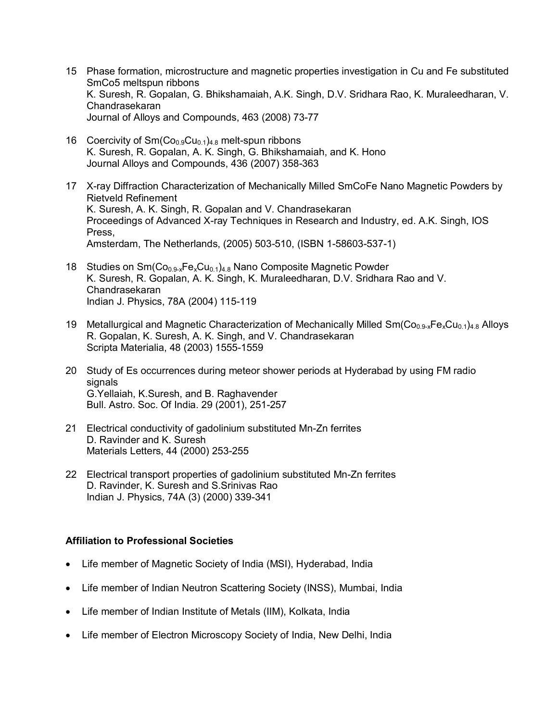- 15 Phase formation, microstructure and magnetic properties investigation in Cu and Fe substituted SmCo5 meltspun ribbons K. Suresh, R. Gopalan, G. Bhikshamaiah, A.K. Singh, D.V. Sridhara Rao, K. Muraleedharan, V. Chandrasekaran Journal of Alloys and Compounds, 463 (2008) 73-77
- 16 Coercivity of  $Sm(Co_{0.9}Cu_{0.1})_{4.8}$  melt-spun ribbons K. Suresh, R. Gopalan, A. K. Singh, G. Bhikshamaiah, and K. Hono Journal Alloys and Compounds, 436 (2007) 358-363
- 17 X-ray Diffraction Characterization of Mechanically Milled SmCoFe Nano Magnetic Powders by Rietveld Refinement K. Suresh, A. K. Singh, R. Gopalan and V. Chandrasekaran Proceedings of Advanced X-ray Techniques in Research and Industry, ed. A.K. Singh, IOS Press, Amsterdam, The Netherlands, (2005) 503-510, (ISBN 1-58603-537-1)
- 18 Studies on  $Sm(Co_{0.9-x}Fe_xCu_{0.1})_{4.8}$  Nano Composite Magnetic Powder K. Suresh, R. Gopalan, A. K. Singh, K. Muraleedharan, D.V. Sridhara Rao and V. Chandrasekaran Indian J. Physics, 78A (2004) 115-119
- 19 Metallurgical and Magnetic Characterization of Mechanically Milled  $Sm(Co_{0.9-x}Fe_xCu_{0.1})_{4.8}$  Alloys R. Gopalan, K. Suresh, A. K. Singh, and V. Chandrasekaran Scripta Materialia, 48 (2003) 1555-1559
- 20 Study of Es occurrences during meteor shower periods at Hyderabad by using FM radio signals G.Yellaiah, K.Suresh, and B. Raghavender Bull. Astro. Soc. Of India. 29 (2001), 251-257
- 21 Electrical conductivity of gadolinium substituted Mn-Zn ferrites D. Ravinder and K. Suresh Materials Letters, 44 (2000) 253-255
- 22 Electrical transport properties of gadolinium substituted Mn-Zn ferrites D. Ravinder, K. Suresh and S.Srinivas Rao Indian J. Physics, 74A (3) (2000) 339-341

### **Affiliation to Professional Societies**

- Life member of Magnetic Society of India (MSI), Hyderabad, India
- Life member of Indian Neutron Scattering Society (INSS), Mumbai, India
- Life member of Indian Institute of Metals (IIM), Kolkata, India
- Life member of Electron Microscopy Society of India, New Delhi, India